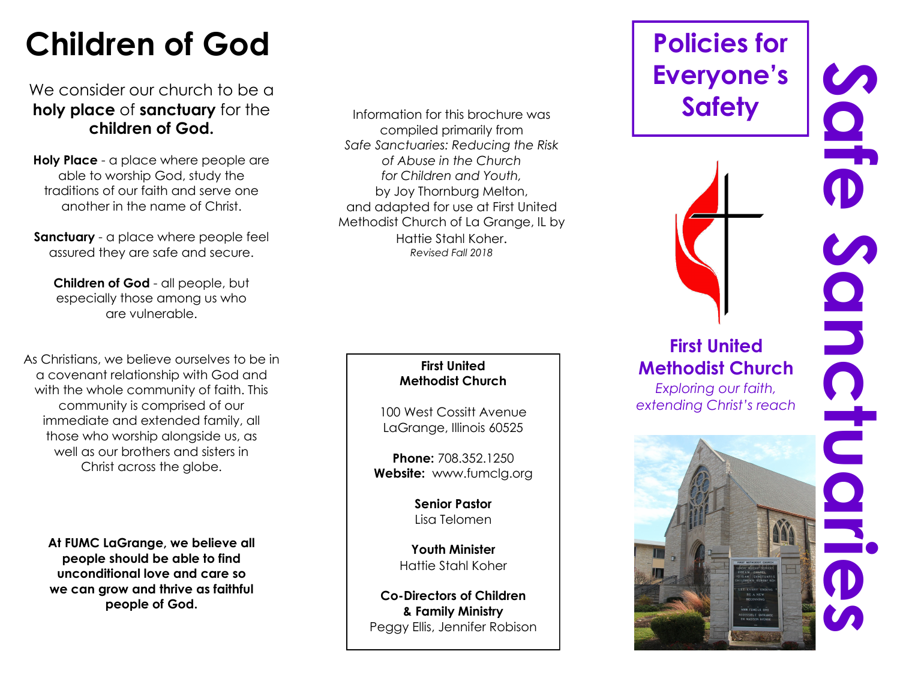## **Children of God**

#### We consider our church to be a **holy place** of **sanctuary** for the **children of God.**

**Holy Place** - a place where people are able to worship God, study the traditions of our faith and serve one another in the name of Christ.

**Sanctuary** - a place where people feel assured they are safe and secure.

**Children of God** - all people, but especially those among us who are vulnerable.

As Christians, we believe ourselves to be in a covenant relationship with God and with the whole community of faith. This community is comprised of our immediate and extended family, all those who worship alongside us, as well as our brothers and sisters in Christ across the globe.

**At FUMC LaGrange, we believe all people should be able to find unconditional love and care so we can grow and thrive as faithful people of God.** 

Information for this brochure was compiled primarily from *Safe Sanctuaries: Reducing the Risk of Abuse in the Church for Children and Youth,*  by Joy Thornburg Melton, and adapted for use at First United Methodist Church of La Grange, IL by Hattie Stahl Koher. *Revised Fall 2018*

#### **First United Methodist Church**

100 West Cossitt Avenue LaGrange, Illinois 60525

**Phone:** 708.352.1250 **Website:** www.fumclg.org

> **Senior Pastor** Lisa Telomen

**Youth Minister** Hattie Stahl Koher

**Co-Directors of Children & Family Ministry** Peggy Ellis, Jennifer Robison

## **Policies for Everyone's Safety**

**First United** 

*Exploring our faith,*

# **SCIED** Safe Sahctuaries Sondructu **Methodist Church**  *extending Christ's reach*O